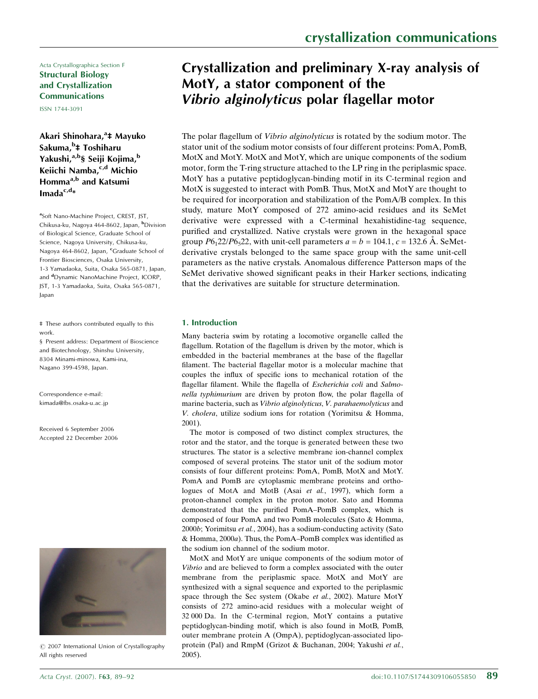Acta Crystallographica Section F Structural Biology and Crystallization Communications

ISSN 1744-3091

Akari Shinohara,<sup>a</sup>‡ Mayuko Sakuma,<sup>b</sup>‡ Toshiharu Yakushi,<sup>a,b</sup>§ Seiji Kojima,<sup>b</sup> Keiichi Namba, <sup>c,d</sup> Michio Homma<sup>a,b</sup> and Katsumi Imada $c, d_*$ 

<sup>a</sup>Soft Nano-Machine Project, CREST, JST, Chikusa-ku, Nagoya 464-8602, Japan, <sup>b</sup>Division of Biological Science, Graduate School of Science, Nagoya University, Chikusa-ku, Nagoya 464-8602, Japan, <sup>c</sup>Graduate School of Frontier Biosciences, Osaka University, 1-3 Yamadaoka, Suita, Osaka 565-0871, Japan, and <sup>d</sup>Dynamic NanoMachine Project, ICORP, JST, 1-3 Yamadaoka, Suita, Osaka 565-0871, Japan

‡ These authors contributed equally to this work.

§ Present address: Department of Bioscience and Biotechnology, Shinshu University, 8304 Minami-minowa, Kami-ina, Nagano 399-4598, Japan.

Correspondence e-mail: kimada@fbs.osaka-u.ac.jp

Received 6 September 2006 Accepted 22 December 2006



*#* 2007 International Union of Crystallography All rights reserved

# Crystallization and preliminary X-ray analysis of MotY, a stator component of the Vibrio alginolyticus polar flagellar motor

The polar flagellum of Vibrio alginolyticus is rotated by the sodium motor. The stator unit of the sodium motor consists of four different proteins: PomA, PomB, MotX and MotY. MotX and MotY, which are unique components of the sodium motor, form the T-ring structure attached to the LP ring in the periplasmic space. MotY has a putative peptidoglycan-binding motif in its C-terminal region and MotX is suggested to interact with PomB. Thus, MotX and MotY are thought to be required for incorporation and stabilization of the PomA/B complex. In this study, mature MotY composed of 272 amino-acid residues and its SeMet derivative were expressed with a C-terminal hexahistidine-tag sequence, purified and crystallized. Native crystals were grown in the hexagonal space group  $P6<sub>1</sub>22/P6<sub>5</sub>22$ , with unit-cell parameters  $a = b = 104.1$ ,  $c = 132.6$  Å. SeMetderivative crystals belonged to the same space group with the same unit-cell parameters as the native crystals. Anomalous difference Patterson maps of the SeMet derivative showed significant peaks in their Harker sections, indicating that the derivatives are suitable for structure determination.

## 1. Introduction

Many bacteria swim by rotating a locomotive organelle called the flagellum. Rotation of the flagellum is driven by the motor, which is embedded in the bacterial membranes at the base of the flagellar filament. The bacterial flagellar motor is a molecular machine that couples the influx of specific ions to mechanical rotation of the flagellar filament. While the flagella of Escherichia coli and Salmonella typhimurium are driven by proton flow, the polar flagella of marine bacteria, such as Vibrio alginolyticus, V. parahaemolyticus and V. cholera, utilize sodium ions for rotation (Yorimitsu & Homma, 2001).

The motor is composed of two distinct complex structures, the rotor and the stator, and the torque is generated between these two structures. The stator is a selective membrane ion-channel complex composed of several proteins. The stator unit of the sodium motor consists of four different proteins: PomA, PomB, MotX and MotY. PomA and PomB are cytoplasmic membrane proteins and orthologues of MotA and MotB (Asai et al., 1997), which form a proton-channel complex in the proton motor. Sato and Homma demonstrated that the purified PomA–PomB complex, which is composed of four PomA and two PomB molecules (Sato & Homma, 2000b; Yorimitsu et al., 2004), has a sodium-conducting activity (Sato & Homma, 2000a). Thus, the PomA–PomB complex was identified as the sodium ion channel of the sodium motor.

MotX and MotY are unique components of the sodium motor of Vibrio and are believed to form a complex associated with the outer membrane from the periplasmic space. MotX and MotY are synthesized with a signal sequence and exported to the periplasmic space through the Sec system (Okabe et al., 2002). Mature MotY consists of 272 amino-acid residues with a molecular weight of 32 000 Da. In the C-terminal region, MotY contains a putative peptidoglycan-binding motif, which is also found in MotB, PomB, outer membrane protein A (OmpA), peptidoglycan-associated lipoprotein (Pal) and RmpM (Grizot & Buchanan, 2004; Yakushi et al., 2005).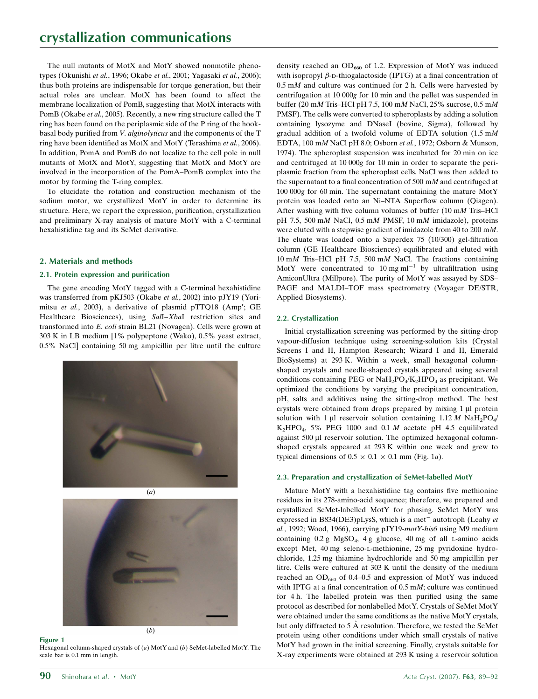The null mutants of MotX and MotY showed nonmotile phenotypes (Okunishi et al., 1996; Okabe et al., 2001; Yagasaki et al., 2006); thus both proteins are indispensable for torque generation, but their actual roles are unclear. MotX has been found to affect the membrane localization of PomB, suggesting that MotX interacts with PomB (Okabe et al., 2005). Recently, a new ring structure called the T ring has been found on the periplasmic side of the P ring of the hookbasal body purified from V. alginolyticus and the components of the T ring have been identified as MotX and MotY (Terashima et al., 2006). In addition, PomA and PomB do not localize to the cell pole in null mutants of MotX and MotY, suggesting that MotX and MotY are involved in the incorporation of the PomA–PomB complex into the motor by forming the T-ring complex.

To elucidate the rotation and construction mechanism of the sodium motor, we crystallized MotY in order to determine its structure. Here, we report the expression, purification, crystallization and preliminary X-ray analysis of mature MotY with a C-terminal hexahistidine tag and its SeMet derivative.

## 2. Materials and methods

## 2.1. Protein expression and purification

The gene encoding MotY tagged with a C-terminal hexahistidine was transferred from pKJ503 (Okabe et al., 2002) into pJY19 (Yorimitsu et al., 2003), a derivative of plasmid pTTQ18 (Amp<sup>r</sup>; GE Healthcare Biosciences), using Sall-Xbal restriction sites and transformed into E. coli strain BL21 (Novagen). Cells were grown at 303 K in LB medium [1% polypeptone (Wako), 0.5% yeast extract, 0.5% NaCl] containing 50 mg ampicillin per litre until the culture





## Figure 1

Hexagonal column-shaped crystals of (a) MotY and (b) SeMet-labelled MotY. The scale bar is 0.1 mm in length.

density reached an  $OD_{660}$  of 1.2. Expression of MotY was induced with isopropyl  $\beta$ -D-thiogalactoside (IPTG) at a final concentration of  $0.5$  mM and culture was continued for 2 h. Cells were harvested by centrifugation at 10 000g for 10 min and the pellet was suspended in buffer (20 mM Tris–HCl pH 7.5, 100 mM NaCl, 25% sucrose, 0.5 mM PMSF). The cells were converted to spheroplasts by adding a solution containing lysozyme and DNaseI (bovine, Sigma), followed by gradual addition of a twofold volume of EDTA solution  $(1.5 \text{ m})$ EDTA, 100 mM NaCl pH 8.0; Osborn et al., 1972; Osborn & Munson, 1974). The spheroplast suspension was incubated for 20 min on ice and centrifuged at 10 000g for 10 min in order to separate the periplasmic fraction from the spheroplast cells. NaCl was then added to the supernatant to a final concentration of 500 m $M$  and centrifuged at 100 000g for 60 min. The supernatant containing the mature MotY protein was loaded onto an Ni–NTA Superflow column (Qiagen). After washing with five column volumes of buffer (10 mM Tris–HCl pH 7.5, 500 mM NaCl, 0.5 mM PMSF, 10 mM imidazole), proteins were eluted with a stepwise gradient of imidazole from 40 to 200 mM. The eluate was loaded onto a Superdex 75 (10/300) gel-filtration column (GE Healthcare Biosciences) equilibrated and eluted with 10 mM Tris–HCl pH 7.5, 500 mM NaCl. The fractions containing MotY were concentrated to 10 mg  $ml^{-1}$  by ultrafiltration using AmiconUltra (Millpore). The purity of MotY was assayed by SDS– PAGE and MALDI–TOF mass spectrometry (Voyager DE/STR, Applied Biosystems).

## 2.2. Crystallization

Initial crystallization screening was performed by the sitting-drop vapour-diffusion technique using screening-solution kits (Crystal Screens I and II, Hampton Research; Wizard I and II, Emerald BioSystems) at 293 K. Within a week, small hexagonal columnshaped crystals and needle-shaped crystals appeared using several conditions containing PEG or  $NaH<sub>2</sub>PO<sub>4</sub>/K<sub>2</sub>HPO<sub>4</sub>$  as precipitant. We optimized the conditions by varying the precipitant concentration, pH, salts and additives using the sitting-drop method. The best crystals were obtained from drops prepared by mixing  $1 \mu$ l protein solution with 1 µl reservoir solution containing  $1.12 M$  NaH<sub>2</sub>PO<sub>4</sub>/  $K<sub>2</sub>HPO<sub>4</sub>$ , 5% PEG 1000 and 0.1 M acetate pH 4.5 equilibrated against 500 µl reservoir solution. The optimized hexagonal columnshaped crystals appeared at 293 K within one week and grew to typical dimensions of  $0.5 \times 0.1 \times 0.1$  mm (Fig. 1*a*).

## 2.3. Preparation and crystallization of SeMet-labelled MotY

Mature MotY with a hexahistidine tag contains five methionine residues in its 278-amino-acid sequence; therefore, we prepared and crystallized SeMet-labelled MotY for phasing. SeMet MotY was expressed in B834(DE3)pLysS, which is a met<sup>-</sup> autotroph (Leahy et al., 1992; Wood, 1966), carrying pJY19-motY-his6 using M9 medium containing 0.2 g MgSO<sub>4</sub>, 4 g glucose, 40 mg of all L-amino acids except Met, 40 mg seleno-l-methionine, 25 mg pyridoxine hydrochloride, 1.25 mg thiamine hydrochloride and 50 mg ampicillin per litre. Cells were cultured at 303 K until the density of the medium reached an  $OD_{660}$  of 0.4–0.5 and expression of MotY was induced with IPTG at a final concentration of 0.5 mM; culture was continued for 4 h. The labelled protein was then purified using the same protocol as described for nonlabelled MotY. Crystals of SeMet MotY were obtained under the same conditions as the native MotY crystals, but only diffracted to 5 A resolution. Therefore, we tested the SeMet protein using other conditions under which small crystals of native MotY had grown in the initial screening. Finally, crystals suitable for X-ray experiments were obtained at 293 K using a reservoir solution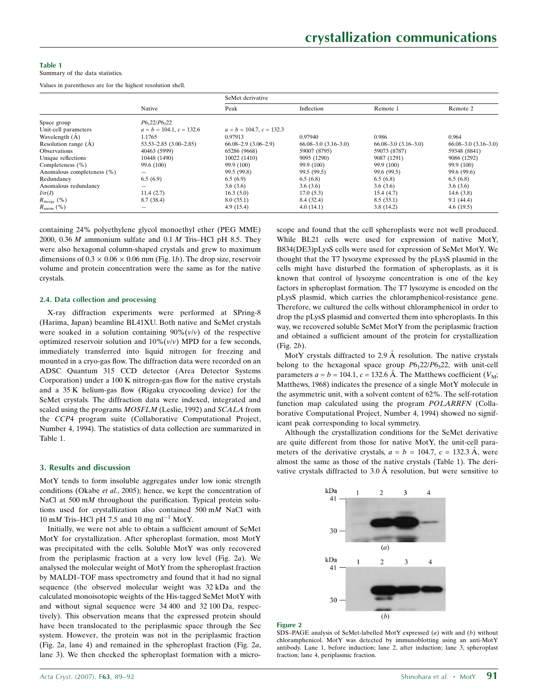#### Table 1

Summary of the data statistics.

Values in parentheses are for the highest resolution shell.

|                            | Native                                | SeMet derivative             |                              |                              |                              |
|----------------------------|---------------------------------------|------------------------------|------------------------------|------------------------------|------------------------------|
|                            |                                       | Peak                         | Inflection                   | Remote 1                     | Remote 2                     |
| Space group                | P6 <sub>1</sub> 22/P6 <sub>5</sub> 22 |                              |                              |                              |                              |
| Unit-cell parameters       | $a = b = 104.1, c = 132.6$            | $a = b = 104.7, c = 132.3$   |                              |                              |                              |
| Wavelength $(A)$           | 1.1765                                | 0.97913                      | 0.97940                      | 0.986                        | 0.964                        |
| Resolution range (A)       | $53.53 - 2.85$ $(3.00 - 2.85)$        | $66.08 - 2.9$ $(3.06 - 2.9)$ | $66.08 - 3.0$ $(3.16 - 3.0)$ | $66.08 - 3.0$ $(3.16 - 3.0)$ | $66.08 - 3.0$ $(3.16 - 3.0)$ |
| <b>Observations</b>        | 40463 (5999)                          | 65286 (9668)                 | 59007 (8795)                 | 59073 (8787)                 | 59348 (8841)                 |
| Unique reflections         | 10448 (1490)                          | 10022 (1410)                 | 9095 (1290)                  | 9087 (1291)                  | 9086 (1292)                  |
| Completeness (%)           | 99.6 (100)                            | 99.9 (100)                   | 99.9 (100)                   | 99.9 (100)                   | 99.9 (100)                   |
| Anomalous completeness (%) |                                       | 99.5 (99.8)                  | 99.5 (99.5)                  | 99.6 (99.5)                  | 99.6 (99.6)                  |
| Redundancy                 | 6.5(6.9)                              | 6.5(6.9)                     | 6.5(6.8)                     | 6.5(6.8)                     | 6.5(6.8)                     |
| Anomalous redundancy       |                                       | 3.6(3.6)                     | 3.6(3.6)                     | 3.6(3.6)                     | 3.6(3.6)                     |
| $I/\sigma(I)$              | 11.4(2.7)                             | 16.3(5.0)                    | 17.0(5.3)                    | 15.4(4.7)                    | 14.6(3.8)                    |
| $R_{\text{merge}}(\%)$     | 8.7 (38.4)                            | 8.0(35.1)                    | 8.4 (32.4)                   | 8.5(33.1)                    | 9.1(44.4)                    |
| $R_{\text{anom}}(\%)$      |                                       | 4.9(15.4)                    | 4.0(14.1)                    | 3.8(14.2)                    | 4.6(19.5)                    |

containing 24% polyethylene glycol monoethyl ether (PEG MME) 2000, 0.36  $M$  ammonium sulfate and 0.1  $M$  Tris–HCl pH 8.5. They were also hexagonal column-shaped crystals and grew to maximum dimensions of  $0.3 \times 0.06 \times 0.06$  mm (Fig. 1b). The drop size, reservoir volume and protein concentration were the same as for the native crystals.

#### 2.4. Data collection and processing

X-ray diffraction experiments were performed at SPring-8 (Harima, Japan) beamline BL41XU. Both native and SeMet crystals were soaked in a solution containing  $90\%$  ( $v/v$ ) of the respective optimized reservoir solution and  $10\%$  ( $v/v$ ) MPD for a few seconds, immediately transferred into liquid nitrogen for freezing and mounted in a cryo-gas flow. The diffraction data were recorded on an ADSC Quantum 315 CCD detector (Area Detector Systems Corporation) under a 100 K nitrogen-gas flow for the native crystals and a 35 K helium-gas flow (Rigaku cryocooling device) for the SeMet crystals. The diffraction data were indexed, integrated and scaled using the programs  $MOSFLM$  (Leslie, 1992) and  $SCALA$  from the CCP4 program suite (Collaborative Computational Project, Number 4, 1994). The statistics of data collection are summarized in Table 1.

### 3. Results and discussion

MotY tends to form insoluble aggregates under low ionic strength conditions (Okabe et al., 2005); hence, we kept the concentration of NaCl at 500 mM throughout the purification. Typical protein solutions used for crystallization also contained 500 mM NaCl with 10 mM Tris–HCl pH 7.5 and 10 mg ml<sup>-1</sup> MotY.

Initially, we were not able to obtain a sufficient amount of SeMet MotY for crystallization. After spheroplast formation, most MotY was precipitated with the cells. Soluble MotY was only recovered from the periplasmic fraction at a very low level (Fig. 2a). We analysed the molecular weight of MotY from the spheroplast fraction by MALDI–TOF mass spectrometry and found that it had no signal sequence (the observed molecular weight was 32 kDa and the calculated monoisotopic weights of the His-tagged SeMet MotY with and without signal sequence were 34 400 and 32 100 Da, respectively). This observation means that the expressed protein should have been translocated to the periplasmic space through the Sec system. However, the protein was not in the periplasmic fraction (Fig. 2a, lane 4) and remained in the spheroplast fraction (Fig. 2a, lane 3). We then checked the spheroplast formation with a microscope and found that the cell spheroplasts were not well produced. While BL21 cells were used for expression of native MotY, B834(DE3)pLysS cells were used for expression of SeMet MotY. We thought that the T7 lysozyme expressed by the pLysS plasmid in the cells might have disturbed the formation of spheroplasts, as it is known that control of lysozyme concentration is one of the key factors in spheroplast formation. The T7 lysozyme is encoded on the pLysS plasmid, which carries the chloramphenicol-resistance gene. Therefore, we cultured the cells without chloramphenicol in order to drop the pLysS plasmid and converted them into spheroplasts. In this way, we recovered soluble SeMet MotY from the periplasmic fraction and obtained a sufficient amount of the protein for crystallization (Fig. 2b).

MotY crystals diffracted to 2.9  $\AA$  resolution. The native crystals belong to the hexagonal space group  $P6<sub>1</sub>22/P6<sub>5</sub>22$ , with unit-cell parameters  $a = b = 104.1$ ,  $c = 132.6$  Å. The Matthews coefficient  $(V_M;$ Matthews, 1968) indicates the presence of a single MotY molecule in the asymmetric unit, with a solvent content of 62%. The self-rotation function map calculated using the program POLARRFN (Collaborative Computational Project, Number 4, 1994) showed no significant peak corresponding to local symmetry.

Although the crystallization conditions for the SeMet derivative are quite different from those for native MotY, the unit-cell parameters of the derivative crystals,  $a = b = 104.7$ ,  $c = 132.3 \text{ Å}$ , were almost the same as those of the native crystals (Table 1). The derivative crystals diffracted to  $3.0 \text{ Å}$  resolution, but were sensitive to



#### Figure 2

SDS–PAGE analysis of SeMet-labelled MotY expressed (a) with and (b) without chloramphenicol. MotY was detected by immunoblotting using an anti-MotY antibody. Lane 1, before induction; lane 2, after induction; lane 3, spheroplast fraction; lane 4, periplasmic fraction.